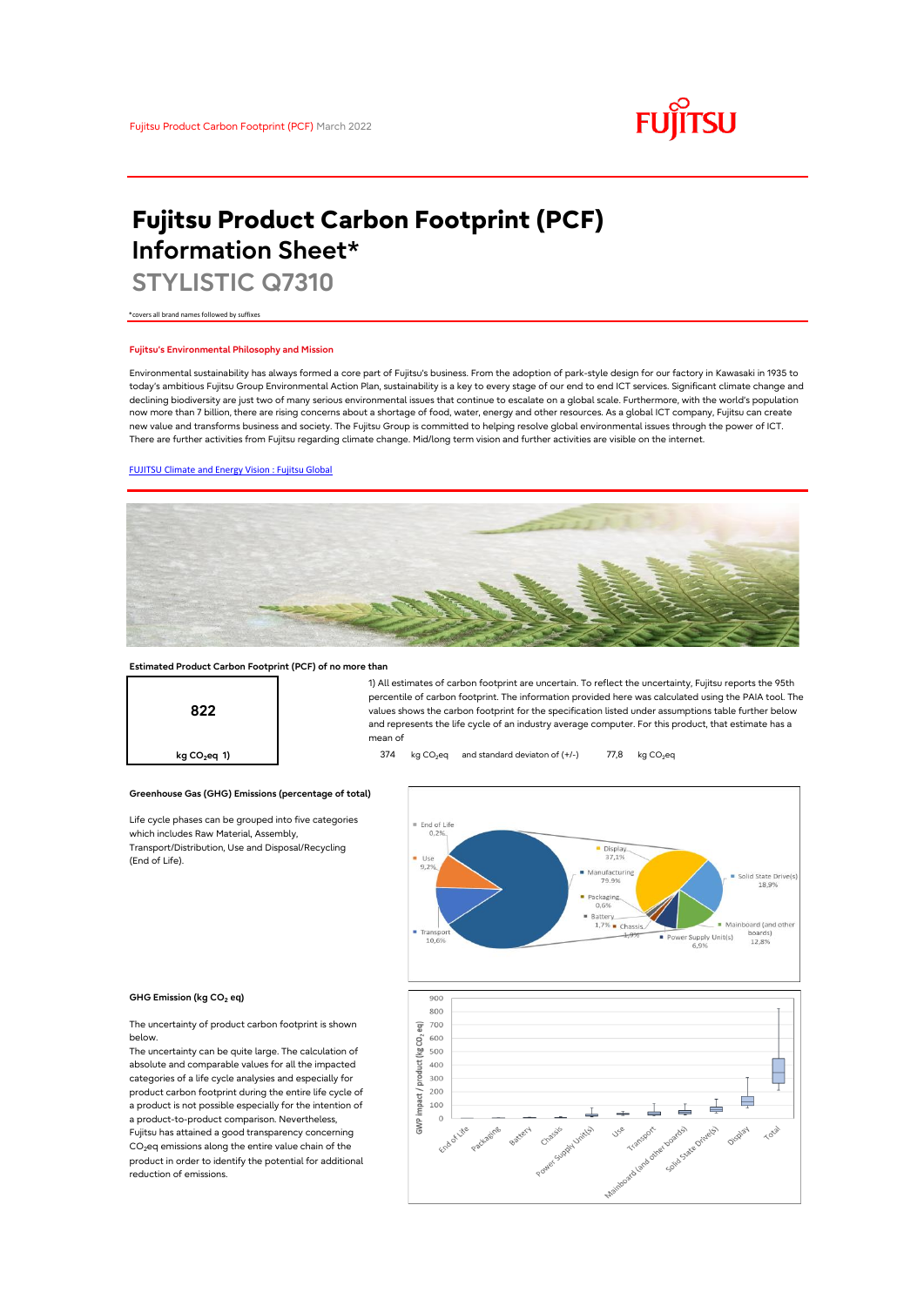

# **Fujitsu Product Carbon Footprint (PCF) Information Sheet\***

**STYLISTIC Q7310**

\*covers all brand names followed by suffixes

## **Fujitsu's Environmental Philosophy and Mission**

Environmental sustainability has always formed a core part of Fujitsu's business. From the adoption of park-style design for our factory in Kawasaki in 1935 to today's ambitious Fujitsu Group Environmental Action Plan, sustainability is a key to every stage of our end to end ICT services. Significant climate change and declining biodiversity are just two of many serious environmental issues that continue to escalate on a global scale. Furthermore, with the world's population now more than 7 billion, there are rising concerns about a shortage of food, water, energy and other resources. As a global ICT company, Fujitsu can create new value and transforms business and society. The Fujitsu Group is committed to helping resolve global environmental issues through the power of ICT. There are further activities from Fujitsu regarding climate change. Mid/long term vision and further activities are visible on the internet.

## [FUJITSU Climate and Energy Vision : Fujitsu Global](https://www.fujitsu.com/global/about/environment/climate-energy-vision/)



## **Estimated Product Carbon Footprint (PCF) of no more than**



1) All estimates of carbon footprint are uncertain. To reflect the uncertainty, Fujitsu reports the 95th percentile of carbon footprint. The information provided here was calculated using the PAIA tool. The values shows the carbon footprint for the specification listed under assumptions table further below and represents the life cycle of an industry average computer. For this product, that estimate has a mean of

**kg CO<sub>2</sub>eq 1)** 374 kg CO<sub>2</sub>eq and standard deviaton of (+/-) 77,8 kg CO<sub>2</sub>eq

#### **Greenhouse Gas (GHG) Emissions (percentage of total)**  $\equiv$  End of Life  $0.25$  $\begin{array}{c}\n\blacksquare \text{ Displa}\n\\ \n37.1\% \n\end{array}$  $9,25$ Manufacturin<br>79.9% Solid State Drive(s 18,99 Packaging  $\begin{array}{r}\n\text{Battery} \\
1,7\% \quad \text{Chassis.}\n\end{array}$  $\begin{array}{c}\n\phantom{\Big|}\text{Transp0} \\
\hline\n\phantom{\Big|}\text{Transp0} \\
\phantom{\Big|}\text{10,69}\n\end{array}$ Mainboard (and other boards<br>12,8% Power Supply Unit(s)<br>6,9% 900 800  $\frac{1}{8}$  700 600 product (kg CO2 500 400 300  $200$ impact / ≑ 100  $\Rightarrow$  $\Omega$ et voortelight of children GWP Battery **Hassis** land other bo

#### **GHG Emission (kg CO2 eq)**

(End of Life).

The uncertainty of product carbon footprint is shown below.

Life cycle phases can be grouped into five categories

which includes Raw Material, Assembly, Transport/Distribution, Use and Disposal/Recycling

The uncertainty can be quite large. The calculation of absolute and comparable values for all the impacted categories of a life cycle analysies and especially for product carbon footprint during the entire life cycle of a product is not possible especially for the intention of a product-to-product comparison. Nevertheless, Fujitsu has attained a good transparency concerning CO<sub>2</sub>eq emissions along the entire value chain of the product in order to identify the potential for additional reduction of emissions.